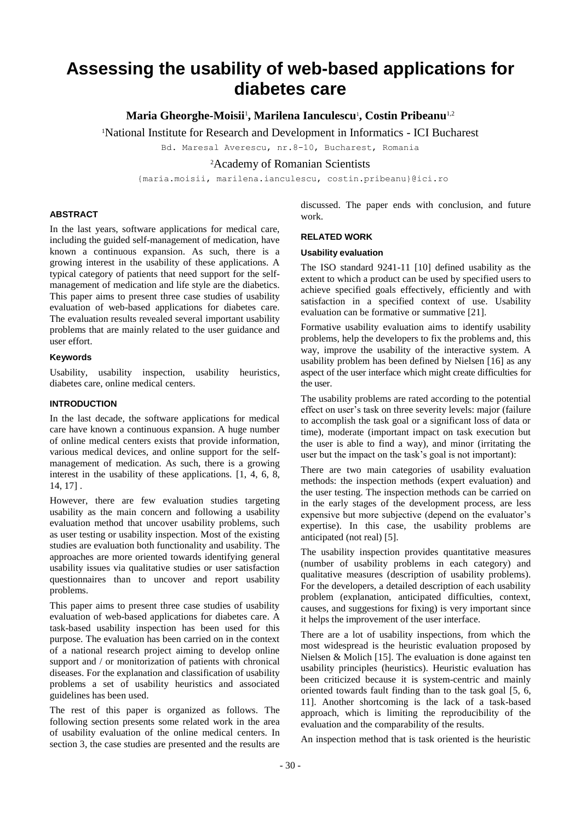# **Assessing the usability of web-based applications for diabetes care**

**Maria Gheorghe-Moisii**<sup>1</sup> **, Marilena Ianculescu**<sup>1</sup> **, Costin Pribeanu**1,2

<sup>1</sup>National Institute for Research and Development in Informatics - ICI Bucharest

Bd. Maresal Averescu, nr.8-10, Bucharest, Romania

<sup>2</sup>Academy of Romanian Scientists

{maria.moisii, marilena.ianculescu, costin.pribeanu}@ici.ro

## **ABSTRACT**

In the last years, software applications for medical care, including the guided self-management of medication, have known a continuous expansion. As such, there is a growing interest in the usability of these applications. A typical category of patients that need support for the selfmanagement of medication and life style are the diabetics. This paper aims to present three case studies of usability evaluation of web-based applications for diabetes care. The evaluation results revealed several important usability problems that are mainly related to the user guidance and user effort.

# **Keywords**

Usability, usability inspection, usability heuristics, diabetes care, online medical centers.

## **INTRODUCTION**

In the last decade, the software applications for medical care have known a continuous expansion. A huge number of online medical centers exists that provide information, various medical devices, and online support for the selfmanagement of medication. As such, there is a growing interest in the usability of these applications. [1, 4, 6, 8, 14, 17] .

However, there are few evaluation studies targeting usability as the main concern and following a usability evaluation method that uncover usability problems, such as user testing or usability inspection. Most of the existing studies are evaluation both functionality and usability. The approaches are more oriented towards identifying general usability issues via qualitative studies or user satisfaction questionnaires than to uncover and report usability problems.

This paper aims to present three case studies of usability evaluation of web-based applications for diabetes care. A task-based usability inspection has been used for this purpose. The evaluation has been carried on in the context of a national research project aiming to develop online support and / or monitorization of patients with chronical diseases. For the explanation and classification of usability problems a set of usability heuristics and associated guidelines has been used.

The rest of this paper is organized as follows. The following section presents some related work in the area of usability evaluation of the online medical centers. In section 3, the case studies are presented and the results are

discussed. The paper ends with conclusion, and future work.

#### **RELATED WORK**

#### **Usability evaluation**

The ISO standard 9241-11 [10] defined usability as the extent to which a product can be used by specified users to achieve specified goals effectively, efficiently and with satisfaction in a specified context of use. Usability evaluation can be formative or summative [21].

Formative usability evaluation aims to identify usability problems, help the developers to fix the problems and, this way, improve the usability of the interactive system. A usability problem has been defined by Nielsen [16] as any aspect of the user interface which might create difficulties for the user.

The usability problems are rated according to the potential effect on user's task on three severity levels: major (failure to accomplish the task goal or a significant loss of data or time), moderate (important impact on task execution but the user is able to find a way), and minor (irritating the user but the impact on the task's goal is not important):

There are two main categories of usability evaluation methods: the inspection methods (expert evaluation) and the user testing. The inspection methods can be carried on in the early stages of the development process, are less expensive but more subjective (depend on the evaluator's expertise). In this case, the usability problems are anticipated (not real) [5].

The usability inspection provides quantitative measures (number of usability problems in each category) and qualitative measures (description of usability problems). For the developers, a detailed description of each usability problem (explanation, anticipated difficulties, context, causes, and suggestions for fixing) is very important since it helps the improvement of the user interface.

There are a lot of usability inspections, from which the most widespread is the heuristic evaluation proposed by Nielsen & Molich [15]. The evaluation is done against ten usability principles (heuristics). Heuristic evaluation has been criticized because it is system-centric and mainly oriented towards fault finding than to the task goal [5, 6, 11]. Another shortcoming is the lack of a task-based approach, which is limiting the reproducibility of the evaluation and the comparability of the results.

An inspection method that is task oriented is the heuristic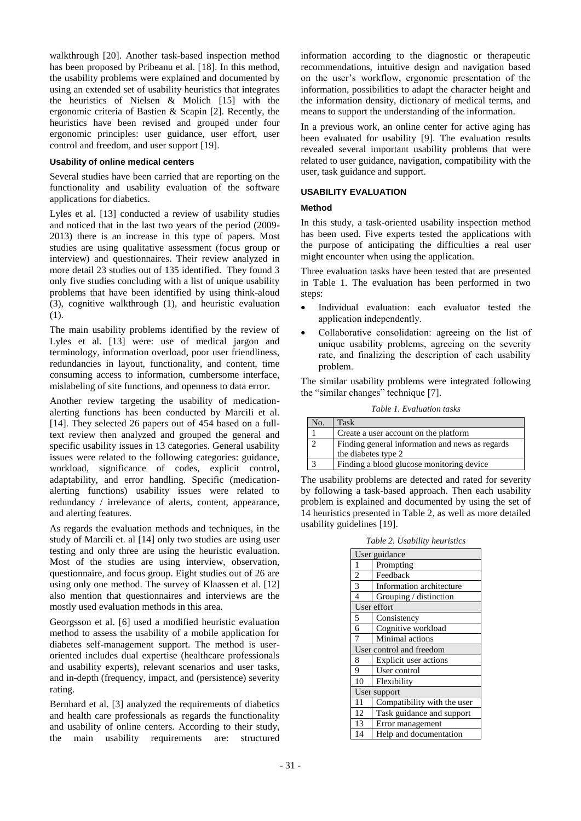walkthrough [20]. Another task-based inspection method has been proposed by Pribeanu et al. [18]. In this method, the usability problems were explained and documented by using an extended set of usability heuristics that integrates the heuristics of Nielsen & Molich [15] with the ergonomic criteria of Bastien & Scapin [2]. Recently, the heuristics have been revised and grouped under four ergonomic principles: user guidance, user effort, user control and freedom, and user support [19].

#### **Usability of online medical centers**

Several studies have been carried that are reporting on the functionality and usability evaluation of the software applications for diabetics.

Lyles et al. [13] conducted a review of usability studies and noticed that in the last two years of the period (2009- 2013) there is an increase in this type of papers. Most studies are using qualitative assessment (focus group or interview) and questionnaires. Their review analyzed in more detail 23 studies out of 135 identified. They found 3 only five studies concluding with a list of unique usability problems that have been identified by using think-aloud (3), cognitive walkthrough (1), and heuristic evaluation (1).

The main usability problems identified by the review of Lyles et al. [13] were: use of medical jargon and terminology, information overload, poor user friendliness, redundancies in layout, functionality, and content, time consuming access to information, cumbersome interface, mislabeling of site functions, and openness to data error.

Another review targeting the usability of medicationalerting functions has been conducted by Marcili et al. [14]. They selected 26 papers out of 454 based on a fulltext review then analyzed and grouped the general and specific usability issues in 13 categories. General usability issues were related to the following categories: guidance, workload, significance of codes, explicit control, adaptability, and error handling. Specific (medicationalerting functions) usability issues were related to redundancy / irrelevance of alerts, content, appearance, and alerting features.

As regards the evaluation methods and techniques, in the study of Marcili et. al [14] only two studies are using user testing and only three are using the heuristic evaluation. Most of the studies are using interview, observation, questionnaire, and focus group. Eight studies out of 26 are using only one method. The survey of Klaassen et al. [12] also mention that questionnaires and interviews are the mostly used evaluation methods in this area.

Georgsson et al. [6] used a modified heuristic evaluation method to assess the usability of a mobile application for diabetes self-management support. The method is useroriented includes dual expertise (healthcare professionals and usability experts), relevant scenarios and user tasks, and in-depth (frequency, impact, and (persistence) severity rating.

Bernhard et al. [3] analyzed the requirements of diabetics and health care professionals as regards the functionality and usability of online centers. According to their study, the main usability requirements are: structured information according to the diagnostic or therapeutic recommendations, intuitive design and navigation based on the user's workflow, ergonomic presentation of the information, possibilities to adapt the character height and the information density, dictionary of medical terms, and means to support the understanding of the information.

In a previous work, an online center for active aging has been evaluated for usability [9]. The evaluation results revealed several important usability problems that were related to user guidance, navigation, compatibility with the user, task guidance and support.

# **USABILITY EVALUATION**

## **Method**

In this study, a task-oriented usability inspection method has been used. Five experts tested the applications with the purpose of anticipating the difficulties a real user might encounter when using the application.

Three evaluation tasks have been tested that are presented in Table 1. The evaluation has been performed in two steps:

- Individual evaluation: each evaluator tested the application independently.
- Collaborative consolidation: agreeing on the list of unique usability problems, agreeing on the severity rate, and finalizing the description of each usability problem.

The similar usability problems were integrated following the "similar changes" technique [7].

*Table 1. Evaluation tasks*

| Nο. | <b>Task</b>                                     |  |  |  |  |
|-----|-------------------------------------------------|--|--|--|--|
|     | Create a user account on the platform           |  |  |  |  |
|     | Finding general information and news as regards |  |  |  |  |
|     | the diabetes type 2                             |  |  |  |  |
|     | Finding a blood glucose monitoring device       |  |  |  |  |

The usability problems are detected and rated for severity by following a task-based approach. Then each usability problem is explained and documented by using the set of 14 heuristics presented in Table 2, as well as more detailed usability guidelines [19].

*Table 2. Usability heuristics*

| User guidance            |                             |  |  |  |  |
|--------------------------|-----------------------------|--|--|--|--|
| 1                        | Prompting                   |  |  |  |  |
| $\overline{2}$           | Feedback                    |  |  |  |  |
| 3                        | Information architecture    |  |  |  |  |
| $\overline{4}$           | Grouping / distinction      |  |  |  |  |
| User effort              |                             |  |  |  |  |
| 5                        | Consistency                 |  |  |  |  |
| 6                        | Cognitive workload          |  |  |  |  |
| 7                        | Minimal actions             |  |  |  |  |
| User control and freedom |                             |  |  |  |  |
| 8                        | Explicit user actions       |  |  |  |  |
| 9                        | User control                |  |  |  |  |
| 10                       | Flexibility                 |  |  |  |  |
| User support             |                             |  |  |  |  |
| 11                       | Compatibility with the user |  |  |  |  |
| 12                       | Task guidance and support   |  |  |  |  |
| 13                       | Error management            |  |  |  |  |
| 14                       | Help and documentation      |  |  |  |  |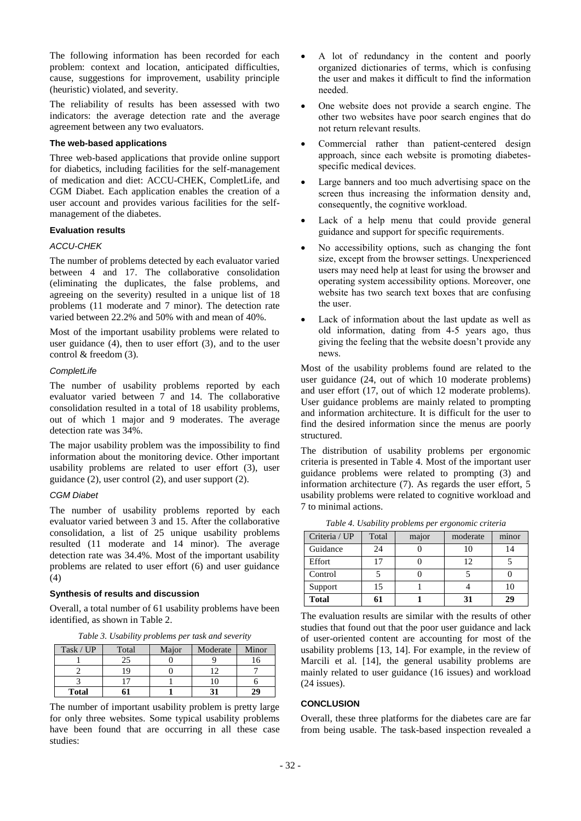The following information has been recorded for each problem: context and location, anticipated difficulties, cause, suggestions for improvement, usability principle (heuristic) violated, and severity.

The reliability of results has been assessed with two indicators: the average detection rate and the average agreement between any two evaluators.

## **The web-based applications**

Three web-based applications that provide online support for diabetics, including facilities for the self-management of medication and diet: ACCU-CHEK, CompletLife, and CGM Diabet. Each application enables the creation of a user account and provides various facilities for the selfmanagement of the diabetes.

## **Evaluation results**

#### *ACCU-CHEK*

The number of problems detected by each evaluator varied between 4 and 17. The collaborative consolidation (eliminating the duplicates, the false problems, and agreeing on the severity) resulted in a unique list of 18 problems (11 moderate and 7 minor). The detection rate varied between 22.2% and 50% with and mean of 40%.

Most of the important usability problems were related to user guidance (4), then to user effort (3), and to the user control & freedom (3).

#### *CompletLife*

The number of usability problems reported by each evaluator varied between 7 and 14. The collaborative consolidation resulted in a total of 18 usability problems, out of which 1 major and 9 moderates. The average detection rate was 34%.

The major usability problem was the impossibility to find information about the monitoring device. Other important usability problems are related to user effort (3), user guidance (2), user control (2), and user support (2).

#### *CGM Diabet*

The number of usability problems reported by each evaluator varied between 3 and 15. After the collaborative consolidation, a list of 25 unique usability problems resulted (11 moderate and 14 minor). The average detection rate was 34.4%. Most of the important usability problems are related to user effort (6) and user guidance (4)

#### **Synthesis of results and discussion**

Overall, a total number of 61 usability problems have been identified, as shown in Table 2.

|  | Table 3. Usability problems per task and severity |  |  |
|--|---------------------------------------------------|--|--|
|  |                                                   |  |  |

| Task / UP    | Total | Major | Moderate | Minor |
|--------------|-------|-------|----------|-------|
|              |       |       |          |       |
|              |       |       |          |       |
|              |       |       |          |       |
| <b>Total</b> |       |       |          | 29    |

The number of important usability problem is pretty large for only three websites. Some typical usability problems have been found that are occurring in all these case studies:

- A lot of redundancy in the content and poorly organized dictionaries of terms, which is confusing the user and makes it difficult to find the information needed.
- One website does not provide a search engine. The other two websites have poor search engines that do not return relevant results.
- Commercial rather than patient-centered design approach, since each website is promoting diabetesspecific medical devices.
- Large banners and too much advertising space on the screen thus increasing the information density and, consequently, the cognitive workload.
- Lack of a help menu that could provide general guidance and support for specific requirements.
- No accessibility options, such as changing the font size, except from the browser settings. Unexperienced users may need help at least for using the browser and operating system accessibility options. Moreover, one website has two search text boxes that are confusing the user.
- Lack of information about the last update as well as old information, dating from 4-5 years ago, thus giving the feeling that the website doesn't provide any news.

Most of the usability problems found are related to the user guidance (24, out of which 10 moderate problems) and user effort (17, out of which 12 moderate problems). User guidance problems are mainly related to prompting and information architecture. It is difficult for the user to find the desired information since the menus are poorly structured.

The distribution of usability problems per ergonomic criteria is presented in Table 4. Most of the important user guidance problems were related to prompting (3) and information architecture (7). As regards the user effort, 5 usability problems were related to cognitive workload and 7 to minimal actions.

| Criteria / UP | Total | major | moderate | minor |
|---------------|-------|-------|----------|-------|
| Guidance      | 24    |       | 10       | 14    |
| Effort        | 17    |       | 12       |       |
| Control       |       |       |          |       |
| Support       | 15    |       |          | 10    |
| <b>Total</b>  |       |       | 31       | 29    |

*Table 4. Usability problems per ergonomic criteria*

The evaluation results are similar with the results of other studies that found out that the poor user guidance and lack of user-oriented content are accounting for most of the usability problems [13, 14]. For example, in the review of Marcili et al. [14], the general usability problems are mainly related to user guidance (16 issues) and workload (24 issues).

#### **CONCLUSION**

Overall, these three platforms for the diabetes care are far from being usable. The task-based inspection revealed a